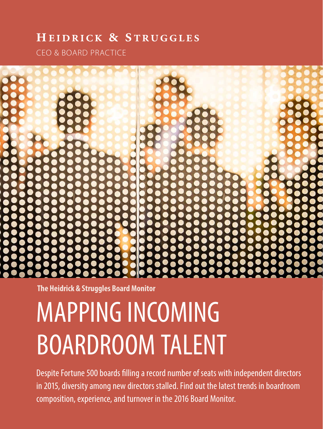### HEIDRICK & STRUGGLES

CEO & BOARD PRACTICE



**The Heidrick & Struggles Board Monitor** 

# MAPPING INCOMING BOARDROOM TALENT

Despite Fortune 500 boards flling a record number of seats with independent directors in 2015, diversity among new directors stalled. Find out the latest trends in boardroom composition, experience, and turnover in the 2016 Board Monitor.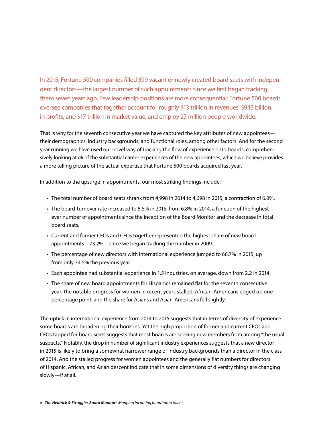In 2015, Fortune 500 companies flled 399 vacant or newly created board seats with independent directors—the largest number of such appointments since we frst began tracking them seven years ago. Few leadership positions are more consequential: Fortune 500 boards oversee companies that together account for roughly \$13 trillion in revenues, \$945 billion in profts, and \$17 trillion in market value, and employ 27 million people worldwide.

That is why for the seventh consecutive year we have captured the key attributes of new appointees their demographics, industry backgrounds, and functional roles, among other factors. And for the second year running we have used our novel way of tracking the fow of experience onto boards, comprehensively looking at *all* of the substantial career experiences of the new appointees, which we believe provides a more telling picture of the actual expertise that Fortune 500 boards acquired last year.

In addition to the upsurge in appointments, our most striking fndings include:

- The total number of board seats shrank from 4,998 in 2014 to 4,698 in 2015, a contraction of 6.0%.
- The board-turnover rate increased to 8.5% in 2015, from 6.8% in 2014, a function of the highestever number of appointments since the inception of the Board Monitor and the decrease in total board seats.
- Current and former CEOs and CFOs together represented the highest share of new board appointments—73.2%—since we began tracking the number in 2009.
- The percentage of new directors with international experience jumped to 66.7% in 2015, up from only 34.5% the previous year.
- Each appointee had substantial experience in 1.5 industries, on average, down from 2.2 in 2014.
- The share of new board appointments for Hispanics remained fat for the seventh consecutive year; the notable progress for women in recent years stalled; African-Americans edged up one percentage point, and the share for Asians and Asian-Americans fell slightly.

The uptick in international experience from 2014 to 2015 suggests that in terms of diversity of experience some boards are broadening their horizons. Yet the high proportion of former and current CEOs and CFOs tapped for board seats suggests that most boards are seeking new members from among "the usual suspects." Notably, the drop in number of signifcant industry experiences suggests that a new director in 2015 is likely to bring a somewhat narrower range of industry backgrounds than a director in the class of 2014. And the stalled progress for women appointees and the generally fat numbers for directors of Hispanic, African, and Asian descent indicate that in some dimensions of diversity things are changing slowly—if at all.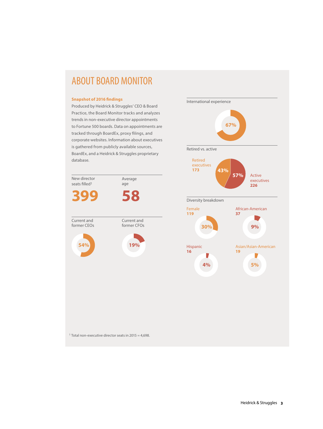### ABOUT BOARD MONITOR

#### **Snapshot of 2016 fndings**

Produced by Heidrick & Struggles' CEO & Board Practice, the Board Monitor tracks and analyzes trends in non-executive director appointments to Fortune 500 boards. Data on appointments are tracked through BoardEx, proxy flings, and corporate websites. Information about executives is gathered from publicly available sources, BoardEx, and a Heidrick & Struggles proprietary database.





1 Total non-executive director seats in 2015 = 4,698.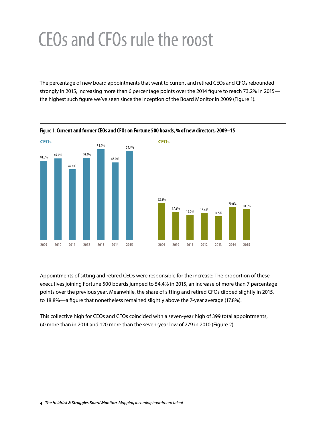## CEOs and CFOs rule the roost

The percentage of new board appointments that went to current and retired CEOs and CFOs rebounded strongly in 2015, increasing more than 6 percentage points over the 2014 fgure to reach 73.2% in 2015 the highest such fgure we've seen since the inception of the Board Monitor in 2009 (Figure 1).



Figure 1: **Current and former CEOs and CFOs on Fortune 500 boards, % of new directors, 2009–15** 

Appointments of sitting and retired CEOs were responsible for the increase: The proportion of these executives joining Fortune 500 boards jumped to 54.4% in 2015, an increase of more than 7 percentage points over the previous year. Meanwhile, the share of sitting and retired CFOs dipped slightly in 2015, to 18.8%—a fgure that nonetheless remained slightly above the 7-year average (17.8%).

This collective high for CEOs and CFOs coincided with a seven-year high of 399 total appointments, 60 more than in 2014 and 120 more than the seven-year low of 279 in 2010 (Figure 2).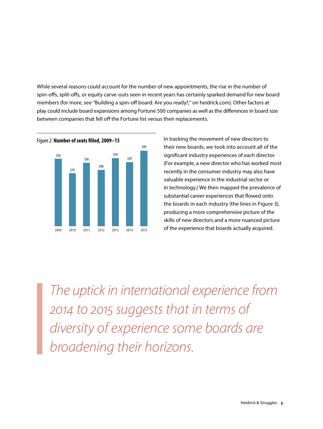While several reasons could account for the number of new appointments, the rise in the number of spin-ofs, split-ofs, or equity carve-outs seen in recent years has certainly sparked demand for new board members (for more, see "Building a spin-off board: Are you ready?," on heidrick.com). Other factors at play could include board expansions among Fortune 500 companies as well as the diferences in board size between companies that fell off the Fortune list versus their replacements.



399 their new boards, we took into account all of the signifcant industry experiences of each director. (For example, a new director who has worked most recently in the consumer industry may also have valuable experience in the industrial sector or in technology.) We then mapped the prevalence of substantial career experiences that flowed onto the boards in each industry (the lines in Figure 3), producing a more comprehensive picture of the skills of new directors and a more nuanced picture of the experience that boards actually acquired.

*The uptick in international experience from 2014 to 2015 suggests that in terms of diversity of experience some boards are broadening their horizons.*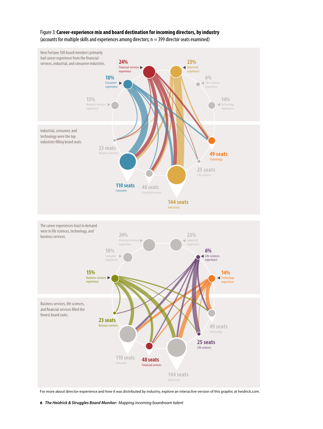

#### Figure 3: **Career-experience mix and board destination for incoming directors, by industry**  (accounts for multiple skills and experiences among directors; n = 399 director seats examined)

For more about director experience and how it was distributed by industry, explore an interactive version of this graphic at heidrick.com.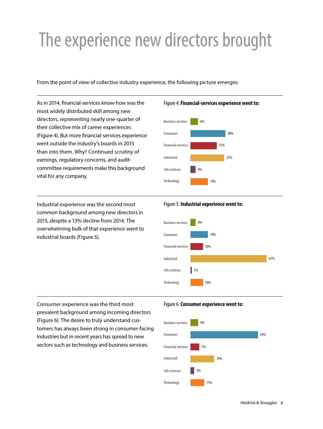# The experience new directors brought

From the point of view of collective industry experience, the following picture emerges:

As in 2014, fnancial-services know-how was the most widely distributed skill among new directors, representing nearly one-quarter of their collective mix of career experiences (Figure 4). But more fnancial-services experience went outside the industry's boards in 2015 than into them. Why? Continued scrutiny of earnings, regulatory concerns, and auditcommittee requirements make this background vital for any company.

Industrial experience was the second most common background among new directors in 2015, despite a 13% decline from 2014. The overwhelming bulk of that experience went to industrial boards (Figure 5).

#### Figure 4: **Financial-services experience went to:**



#### Figure 5: **Industrial experience went to:**



Consumer experience was the third most prevalent background among incoming directors (Figure 6). The desire to truly understand customers has always been strong in consumer-facing industries but in recent years has spread to new sectors such as technology and business services.

#### Figure 6: **Consumer experience went to:**

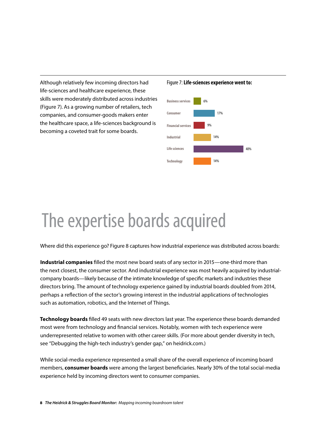Although relatively few incoming directors had life-sciences and healthcare experience, these skills were moderately distributed across industries (Figure 7). As a growing number of retailers, tech companies, and consumer-goods makers enter the healthcare space, a life-sciences background is becoming a coveted trait for some boards.

Figure 7: **Life-sciences experience went to:** 



## The expertise boards acquired

Where did this experience go? Figure 8 captures how industrial experience was distributed across boards:

**Industrial companies** flled the most new board seats of any sector in 2015—one-third more than the next closest, the consumer sector. And industrial experience was most heavily acquired by industrialcompany boards—likely because of the intimate knowledge of specifc markets and industries these directors bring. The amount of technology experience gained by industrial boards doubled from 2014, perhaps a refection of the sector's growing interest in the industrial applications of technologies such as automation, robotics, and the Internet of Things.

**Technology boards** flled 49 seats with new directors last year. The experience these boards demanded most were from technology and fnancial services. Notably, women with tech experience were underrepresented relative to women with other career skills. (For more about gender diversity in tech, see "Debugging the high-tech industry's gender gap," on heidrick.com.)

While social-media experience represented a small share of the overall experience of incoming board members, **consumer boards** were among the largest benefciaries. Nearly 30% of the total social-media experience held by incoming directors went to consumer companies.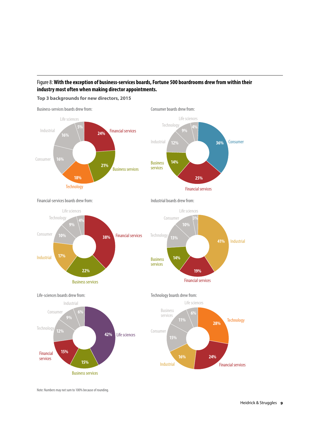### Figure 8: **With the exception of business-services boards, Fortune 500 boardrooms drew from within their industry most often when making director appointments.**

**Top 3 backgrounds for new directors, 2015** 



Financial-services boards drew from: Industrial boards drew from:











Note: Numbers may not sum to 100% because of rounding.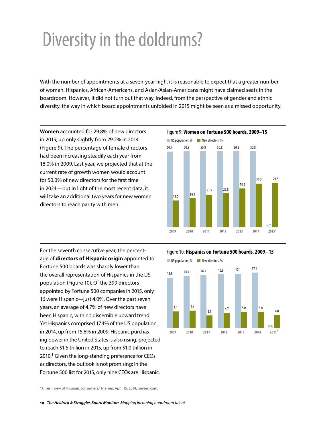## Diversity in the doldrums?

With the number of appointments at a seven-year high, it is reasonable to expect that a greater number of women, Hispanics, African-Americans, and Asian/Asian-Americans might have claimed seats in the boardroom. However, it did not turn out that way. Indeed, from the perspective of gender and ethnic diversity, the way in which board appointments unfolded in 2015 might be seen as a missed opportunity.

**Women** accounted for 29.8% of new directors in 2015, up only slightly from 29.2% in 2014 (Figure 9). The percentage of female directors had been increasing steadily each year from 18.0% in 2009. Last year, we projected that at the current rate of growth women would account for 50.0% of new directors for the frst time in 2024—but in light of the most recent data, it will take an additional two years for new women directors to reach parity with men.



For the seventh consecutive year, the percentage of **directors of Hispanic origin** appointed to Fortune 500 boards was sharply lower than the overall representation of Hispanics in the US population (Figure 10). Of the 399 directors appointed by Fortune 500 companies in 2015, only 16 were Hispanic—just 4.0%. Over the past seven years, an average of 4.7% of new directors have been Hispanic, with no discernible upward trend. Yet Hispanics comprised 17.4% of the US population in 2014, up from 15.8% in 2009. Hispanic purchasing power in the United States is also rising, projected to reach \$1.5 trillion in 2015, up from \$1.0 trillion in  $2010$ .<sup>1</sup> Given the long-standing preference for CEOs as directors, the outlook is not promising: in the Fortune 500 list for 2015, only nine CEOs are Hispanic.

Figure 10: **Hispanics on Fortune 500 boards, 2009−15** 



1 "A fresh view of Hispanic consumers," Nielsen, April 15, 2014, nielsen.com.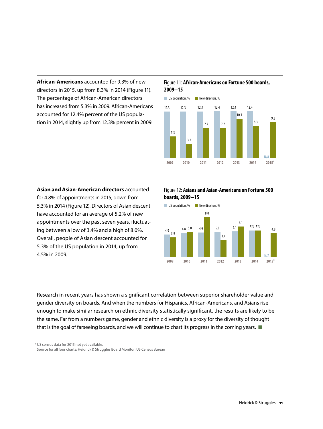**African-Americans** accounted for 9.3% of new directors in 2015, up from 8.3% in 2014 (Figure 11). The percentage of African-American directors has increased from 5.3% in 2009. African-Americans accounted for 12.4% percent of the US population in 2014, slightly up from 12.3% percent in 2009.

#### Figure 11: **African-Americans on Fortune 500 boards, 2009−15**



for 4.8% of appointments in 2015, down from **boards, 2009−15**  5.3% in 2014 (Figure 12). Directors of Asian descent US population, % New directors, % have accounted for an average of 5.2% of new 8.0 appointments over the past seven years, fluctuat- 6.1 and 6.1 control of 6.1 and 6.1 control of 6.1 control of 6.1 control of 6.1 control of 6.1 control of 6.1 control of 6.1 control of 6.1 control of 6.1 control of 6.1 co ing between a low of 3.4% and a high of 8.0%.  $4.5\frac{4.8}{3.9}$   $4.8\frac{5.0}{1}$   $4.9$   $4.9$   $4.9$   $4.9$   $4.9$   $4.9$   $4.9$   $4.9$   $4.9$   $4.9$   $4.9$   $4.9$   $4.9$   $4.9$   $4.9$   $4.9$   $4.9$   $4.9$   $4.9$   $4.9$   $4.9$   $4.9$   $4.9$   $4.9$ Overall, people of Asian descent accounted for **the contract of the Contract of Asian** descent accounted for 5.3% of the US population in 2014, up from 4.5% in 2009.

### **Asian and Asian-American directors** accounted Figure 12: **Asians and Asian-Americans on Fortune 500**



Research in recent years has shown a signifcant correlation between superior shareholder value and gender diversity on boards. And when the numbers for Hispanics, African-Americans, and Asians rise enough to make similar research on ethnic diversity statistically signifcant, the results are likely to be the same. Far from a numbers game, gender and ethnic diversity is a proxy for the diversity of thought that is the goal of farseeing boards, and we will continue to chart its progress in the coming years.

\* US census data for 2015 not yet available.

Source for all four charts: Heidrick & Struggles Board Monitor; US Census Bureau